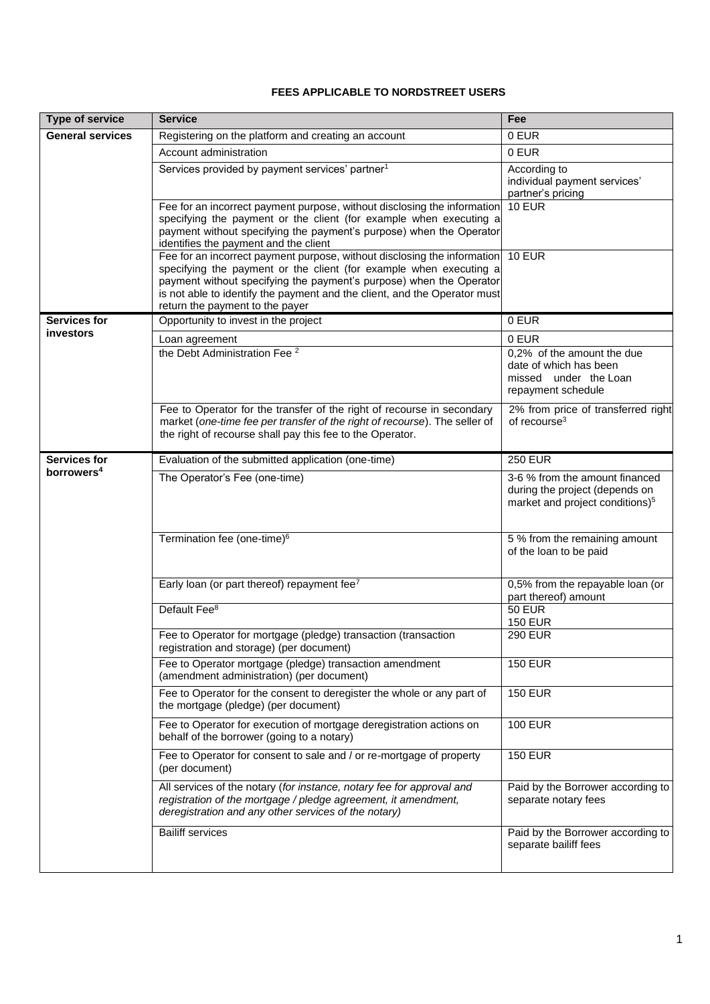## **FEES APPLICABLE TO NORDSTREET USERS**

| <b>Type of service</b>                        | <b>Service</b>                                                                                                                                                                                                                                                                                                                        | Fee                                                                                                             |
|-----------------------------------------------|---------------------------------------------------------------------------------------------------------------------------------------------------------------------------------------------------------------------------------------------------------------------------------------------------------------------------------------|-----------------------------------------------------------------------------------------------------------------|
| <b>General services</b>                       | Registering on the platform and creating an account                                                                                                                                                                                                                                                                                   | 0 EUR                                                                                                           |
|                                               | Account administration                                                                                                                                                                                                                                                                                                                | 0 EUR                                                                                                           |
|                                               | Services provided by payment services' partner <sup>1</sup>                                                                                                                                                                                                                                                                           | According to<br>individual payment services'<br>partner's pricing                                               |
|                                               | Fee for an incorrect payment purpose, without disclosing the information<br>specifying the payment or the client (for example when executing a<br>payment without specifying the payment's purpose) when the Operator<br>identifies the payment and the client                                                                        | $10$ EUR                                                                                                        |
|                                               | Fee for an incorrect payment purpose, without disclosing the information<br>specifying the payment or the client (for example when executing a<br>payment without specifying the payment's purpose) when the Operator<br>is not able to identify the payment and the client, and the Operator must<br>return the payment to the payer | $10$ EUR                                                                                                        |
| <b>Services for</b><br>investors              | Opportunity to invest in the project                                                                                                                                                                                                                                                                                                  | 0 EUR                                                                                                           |
|                                               | Loan agreement                                                                                                                                                                                                                                                                                                                        | 0 EUR                                                                                                           |
|                                               | the Debt Administration Fee <sup>2</sup>                                                                                                                                                                                                                                                                                              | 0,2% of the amount the due<br>date of which has been<br>missed under the Loan<br>repayment schedule             |
|                                               | Fee to Operator for the transfer of the right of recourse in secondary<br>market (one-time fee per transfer of the right of recourse). The seller of<br>the right of recourse shall pay this fee to the Operator.                                                                                                                     | 2% from price of transferred right<br>of recourse <sup>3</sup>                                                  |
| <b>Services for</b><br>borrowers <sup>4</sup> | Evaluation of the submitted application (one-time)                                                                                                                                                                                                                                                                                    | <b>250 EUR</b>                                                                                                  |
|                                               | The Operator's Fee (one-time)                                                                                                                                                                                                                                                                                                         | 3-6 % from the amount financed<br>during the project (depends on<br>market and project conditions) <sup>5</sup> |
|                                               | Termination fee (one-time) <sup>6</sup>                                                                                                                                                                                                                                                                                               | 5 % from the remaining amount<br>of the loan to be paid                                                         |
|                                               | Early loan (or part thereof) repayment fee <sup>7</sup>                                                                                                                                                                                                                                                                               | 0,5% from the repayable loan (or<br>part thereof) amount                                                        |
|                                               | Default Fee <sup>8</sup>                                                                                                                                                                                                                                                                                                              | <b>50 EUR</b><br><b>150 EUR</b>                                                                                 |
|                                               | Fee to Operator for mortgage (pledge) transaction (transaction<br>registration and storage) (per document)                                                                                                                                                                                                                            | <b>290 EUR</b>                                                                                                  |
|                                               | Fee to Operator mortgage (pledge) transaction amendment<br>(amendment administration) (per document)                                                                                                                                                                                                                                  | <b>150 EUR</b>                                                                                                  |
|                                               | Fee to Operator for the consent to deregister the whole or any part of<br>the mortgage (pledge) (per document)                                                                                                                                                                                                                        | <b>150 EUR</b>                                                                                                  |
|                                               | Fee to Operator for execution of mortgage deregistration actions on<br>behalf of the borrower (going to a notary)                                                                                                                                                                                                                     | <b>100 EUR</b>                                                                                                  |
|                                               | Fee to Operator for consent to sale and / or re-mortgage of property<br>(per document)                                                                                                                                                                                                                                                | <b>150 EUR</b>                                                                                                  |
|                                               | All services of the notary (for instance, notary fee for approval and<br>registration of the mortgage / pledge agreement, it amendment,<br>deregistration and any other services of the notary)                                                                                                                                       | Paid by the Borrower according to<br>separate notary fees                                                       |
|                                               | <b>Bailiff services</b>                                                                                                                                                                                                                                                                                                               | Paid by the Borrower according to<br>separate bailiff fees                                                      |